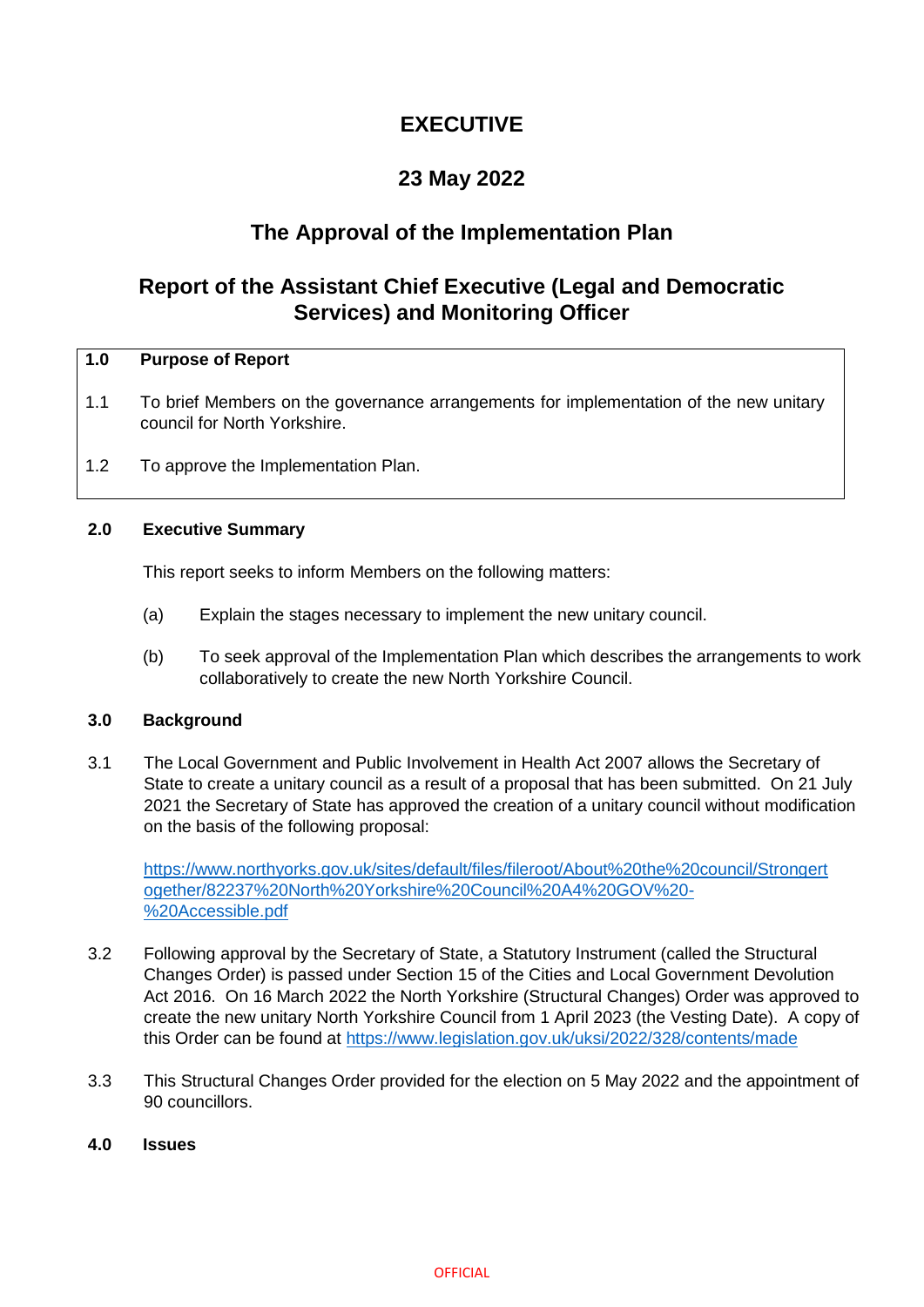# **EXECUTIVE**

## **23 May 2022**

### **The Approval of the Implementation Plan**

## **Report of the Assistant Chief Executive (Legal and Democratic Services) and Monitoring Officer**

#### **1.0 Purpose of Report**

- 1.1 To brief Members on the governance arrangements for implementation of the new unitary council for North Yorkshire.
- 1.2 To approve the Implementation Plan.

#### **2.0 Executive Summary**

This report seeks to inform Members on the following matters:

- (a) Explain the stages necessary to implement the new unitary council.
- (b) To seek approval of the Implementation Plan which describes the arrangements to work collaboratively to create the new North Yorkshire Council.

#### **3.0 Background**

3.1 The Local Government and Public Involvement in Health Act 2007 allows the Secretary of State to create a unitary council as a result of a proposal that has been submitted. On 21 July 2021 the Secretary of State has approved the creation of a unitary council without modification on the basis of the following proposal:

[https://www.northyorks.gov.uk/sites/default/files/fileroot/About%20the%20council/Strongert](https://www.northyorks.gov.uk/sites/default/files/fileroot/About%20the%20council/Strongertogether/82237%20North%20Yorkshire%20Council%20A4%20GOV%20-%20Accessible.pdf) [ogether/82237%20North%20Yorkshire%20Council%20A4%20GOV%20-](https://www.northyorks.gov.uk/sites/default/files/fileroot/About%20the%20council/Strongertogether/82237%20North%20Yorkshire%20Council%20A4%20GOV%20-%20Accessible.pdf) [%20Accessible.pdf](https://www.northyorks.gov.uk/sites/default/files/fileroot/About%20the%20council/Strongertogether/82237%20North%20Yorkshire%20Council%20A4%20GOV%20-%20Accessible.pdf)

- 3.2 Following approval by the Secretary of State, a Statutory Instrument (called the Structural Changes Order) is passed under Section 15 of the Cities and Local Government Devolution Act 2016. On 16 March 2022 the North Yorkshire (Structural Changes) Order was approved to create the new unitary North Yorkshire Council from 1 April 2023 (the Vesting Date). A copy of this Order can be found at<https://www.legislation.gov.uk/uksi/2022/328/contents/made>
- 3.3 This Structural Changes Order provided for the election on 5 May 2022 and the appointment of 90 councillors.
- **4.0 Issues**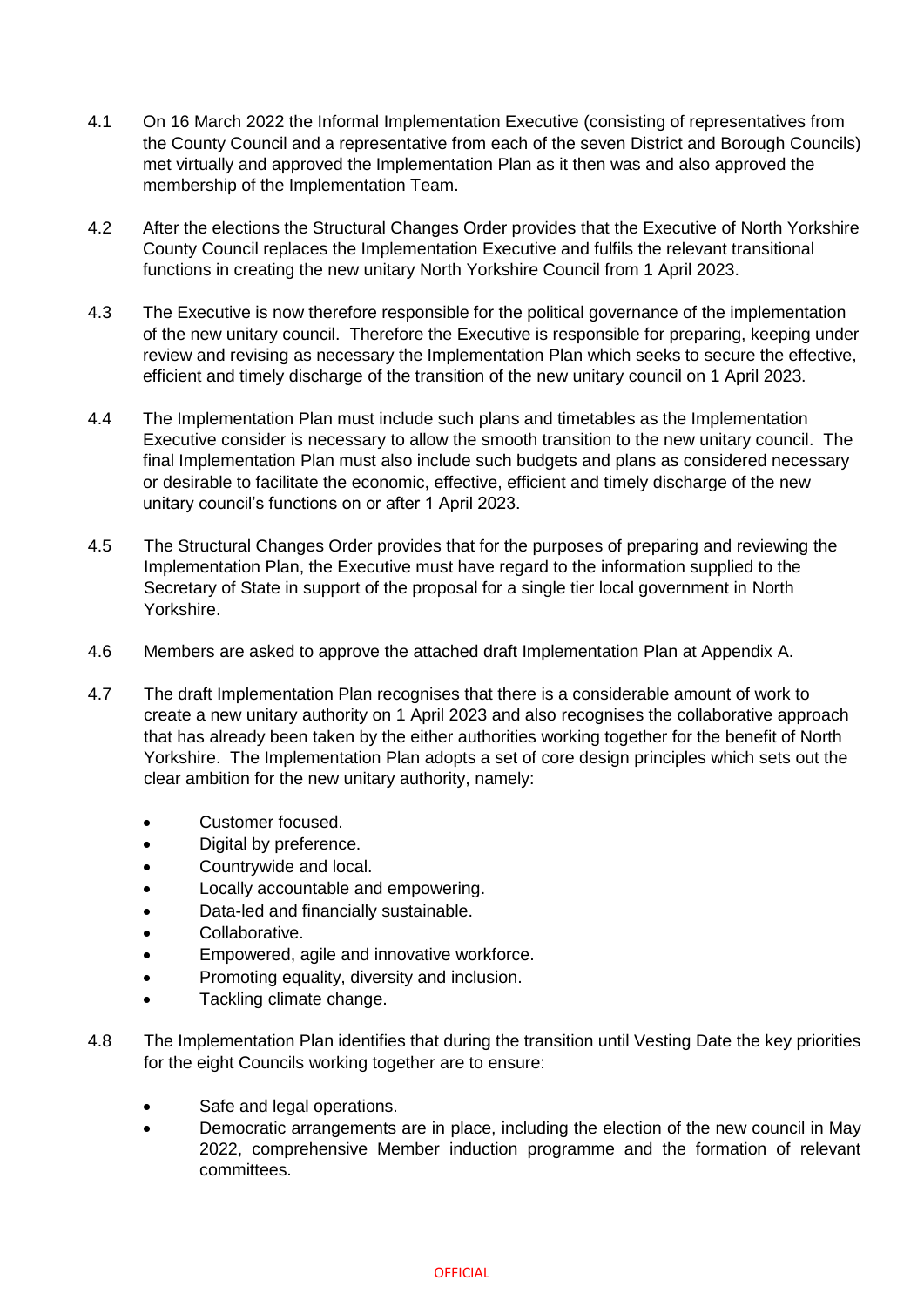- 4.1 On 16 March 2022 the Informal Implementation Executive (consisting of representatives from the County Council and a representative from each of the seven District and Borough Councils) met virtually and approved the Implementation Plan as it then was and also approved the membership of the Implementation Team.
- 4.2 After the elections the Structural Changes Order provides that the Executive of North Yorkshire County Council replaces the Implementation Executive and fulfils the relevant transitional functions in creating the new unitary North Yorkshire Council from 1 April 2023.
- 4.3 The Executive is now therefore responsible for the political governance of the implementation of the new unitary council. Therefore the Executive is responsible for preparing, keeping under review and revising as necessary the Implementation Plan which seeks to secure the effective, efficient and timely discharge of the transition of the new unitary council on 1 April 2023.
- 4.4 The Implementation Plan must include such plans and timetables as the Implementation Executive consider is necessary to allow the smooth transition to the new unitary council. The final Implementation Plan must also include such budgets and plans as considered necessary or desirable to facilitate the economic, effective, efficient and timely discharge of the new unitary council's functions on or after 1 April 2023.
- 4.5 The Structural Changes Order provides that for the purposes of preparing and reviewing the Implementation Plan, the Executive must have regard to the information supplied to the Secretary of State in support of the proposal for a single tier local government in North Yorkshire.
- 4.6 Members are asked to approve the attached draft Implementation Plan at Appendix A.
- 4.7 The draft Implementation Plan recognises that there is a considerable amount of work to create a new unitary authority on 1 April 2023 and also recognises the collaborative approach that has already been taken by the either authorities working together for the benefit of North Yorkshire. The Implementation Plan adopts a set of core design principles which sets out the clear ambition for the new unitary authority, namely:
	- Customer focused.
	- Digital by preference.
	- Countrywide and local.
	- Locally accountable and empowering.
	- Data-led and financially sustainable.
	- Collaborative.
	- Empowered, agile and innovative workforce.
	- Promoting equality, diversity and inclusion.
	- Tackling climate change.
- 4.8 The Implementation Plan identifies that during the transition until Vesting Date the key priorities for the eight Councils working together are to ensure:
	- Safe and legal operations.
	- Democratic arrangements are in place, including the election of the new council in May 2022, comprehensive Member induction programme and the formation of relevant committees.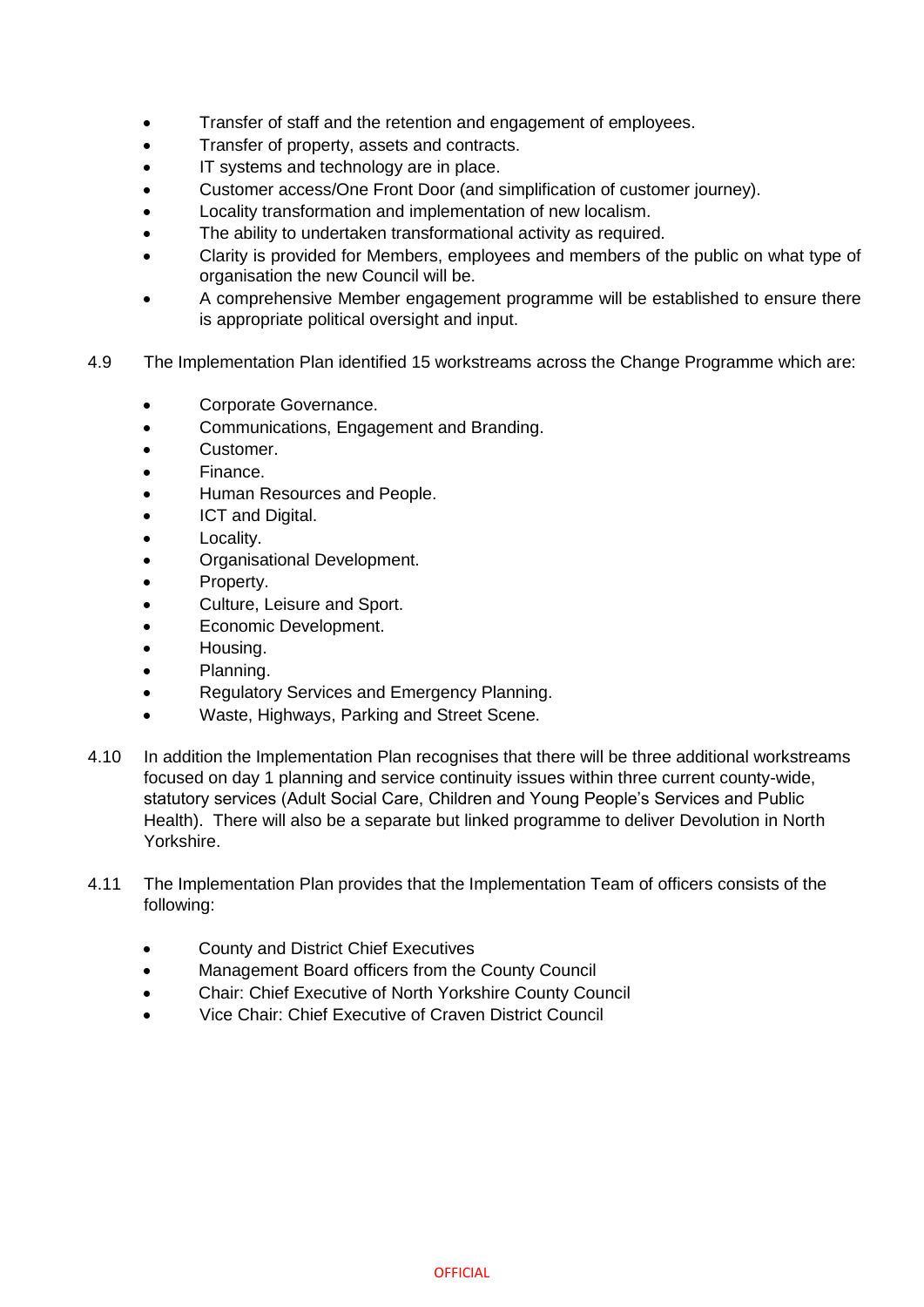- Transfer of staff and the retention and engagement of employees.
- Transfer of property, assets and contracts.
- IT systems and technology are in place.
- Customer access/One Front Door (and simplification of customer journey).
- Locality transformation and implementation of new localism.
- The ability to undertaken transformational activity as required.
- Clarity is provided for Members, employees and members of the public on what type of organisation the new Council will be.
- A comprehensive Member engagement programme will be established to ensure there is appropriate political oversight and input.
- 4.9 The Implementation Plan identified 15 workstreams across the Change Programme which are:
	- Corporate Governance.
	- Communications, Engagement and Branding.
	- Customer.
	- Finance.
	- Human Resources and People.
	- ICT and Digital.
	- Locality.
	- Organisational Development.
	- Property.
	- Culture, Leisure and Sport.
	- Economic Development.
	- Housing.
	- Planning.
	- Regulatory Services and Emergency Planning.
	- Waste, Highways, Parking and Street Scene.
- 4.10 In addition the Implementation Plan recognises that there will be three additional workstreams focused on day 1 planning and service continuity issues within three current county-wide, statutory services (Adult Social Care, Children and Young People's Services and Public Health). There will also be a separate but linked programme to deliver Devolution in North Yorkshire.
- 4.11 The Implementation Plan provides that the Implementation Team of officers consists of the following:
	- County and District Chief Executives
	- Management Board officers from the County Council
	- Chair: Chief Executive of North Yorkshire County Council
	- Vice Chair: Chief Executive of Craven District Council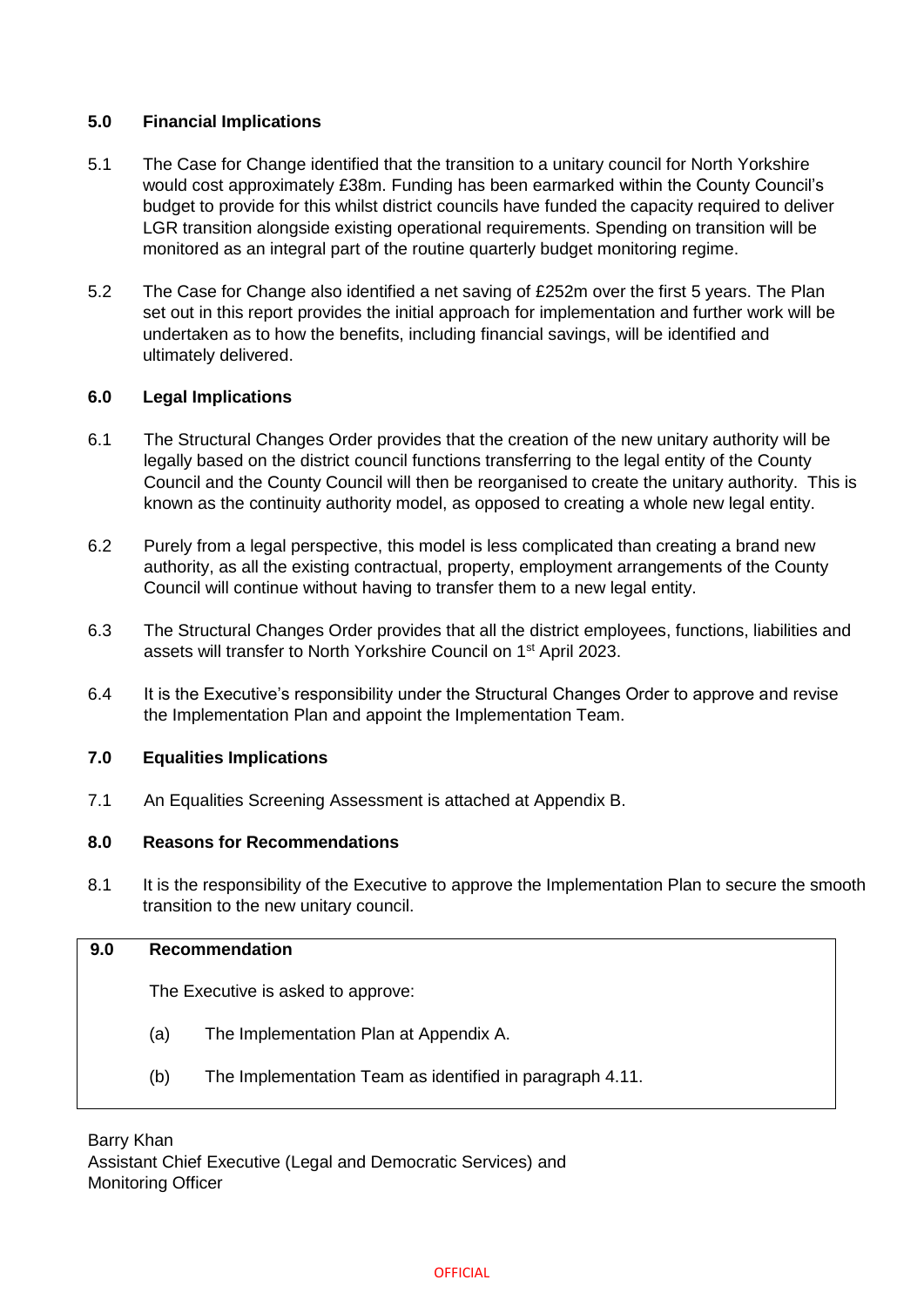#### **5.0 Financial Implications**

- 5.1 The Case for Change identified that the transition to a unitary council for North Yorkshire would cost approximately £38m. Funding has been earmarked within the County Council's budget to provide for this whilst district councils have funded the capacity required to deliver LGR transition alongside existing operational requirements. Spending on transition will be monitored as an integral part of the routine quarterly budget monitoring regime.
- 5.2 The Case for Change also identified a net saving of £252m over the first 5 years. The Plan set out in this report provides the initial approach for implementation and further work will be undertaken as to how the benefits, including financial savings, will be identified and ultimately delivered.

### **6.0 Legal Implications**

- 6.1 The Structural Changes Order provides that the creation of the new unitary authority will be legally based on the district council functions transferring to the legal entity of the County Council and the County Council will then be reorganised to create the unitary authority. This is known as the continuity authority model, as opposed to creating a whole new legal entity.
- 6.2 Purely from a legal perspective, this model is less complicated than creating a brand new authority, as all the existing contractual, property, employment arrangements of the County Council will continue without having to transfer them to a new legal entity.
- 6.3 The Structural Changes Order provides that all the district employees, functions, liabilities and assets will transfer to North Yorkshire Council on 1st April 2023.
- 6.4 It is the Executive's responsibility under the Structural Changes Order to approve and revise the Implementation Plan and appoint the Implementation Team.

#### **7.0 Equalities Implications**

7.1 An Equalities Screening Assessment is attached at Appendix B.

#### **8.0 Reasons for Recommendations**

8.1 It is the responsibility of the Executive to approve the Implementation Plan to secure the smooth transition to the new unitary council.

#### **9.0 Recommendation**

The Executive is asked to approve:

- (a) The Implementation Plan at Appendix A.
- (b) The Implementation Team as identified in paragraph 4.11.

#### Barry Khan Assistant Chief Executive (Legal and Democratic Services) and Monitoring Officer